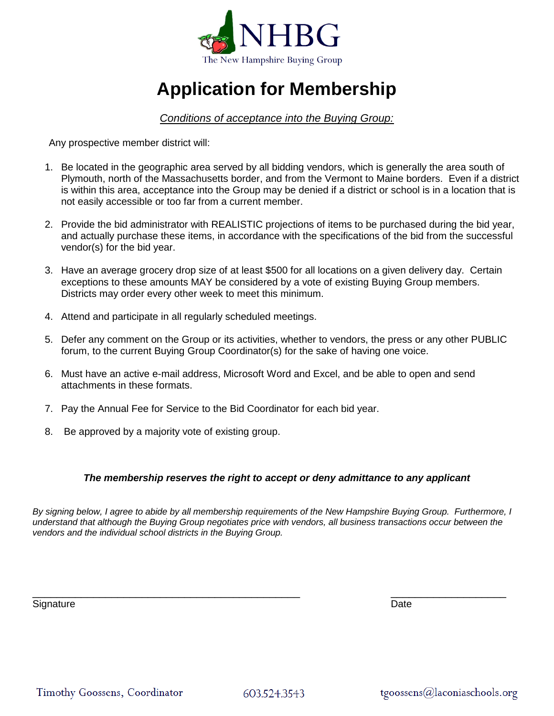

# **Application for Membership**

## *Conditions of acceptance into the Buying Group:*

Any prospective member district will:

- 1. Be located in the geographic area served by all bidding vendors, which is generally the area south of Plymouth, north of the Massachusetts border, and from the Vermont to Maine borders. Even if a district is within this area, acceptance into the Group may be denied if a district or school is in a location that is not easily accessible or too far from a current member.
- 2. Provide the bid administrator with REALISTIC projections of items to be purchased during the bid year, and actually purchase these items, in accordance with the specifications of the bid from the successful vendor(s) for the bid year.
- 3. Have an average grocery drop size of at least \$500 for all locations on a given delivery day. Certain exceptions to these amounts MAY be considered by a vote of existing Buying Group members. Districts may order every other week to meet this minimum.
- 4. Attend and participate in all regularly scheduled meetings.
- 5. Defer any comment on the Group or its activities, whether to vendors, the press or any other PUBLIC forum, to the current Buying Group Coordinator(s) for the sake of having one voice.
- 6. Must have an active e-mail address, Microsoft Word and Excel, and be able to open and send attachments in these formats.
- 7. Pay the Annual Fee for Service to the Bid Coordinator for each bid year.
- 8. Be approved by a majority vote of existing group.

#### *The membership reserves the right to accept or deny admittance to any applicant*

*By signing below, I agree to abide by all membership requirements of the New Hampshire Buying Group. Furthermore, I understand that although the Buying Group negotiates price with vendors, all business transactions occur between the vendors and the individual school districts in the Buying Group.* 

\_\_\_\_\_\_\_\_\_\_\_\_\_\_\_\_\_\_\_\_\_\_\_\_\_\_\_\_\_\_\_\_\_\_\_\_\_\_\_\_\_\_\_\_ \_\_\_\_\_\_\_\_\_\_\_\_\_\_\_\_\_\_\_

Signature Date Date of the Contract of the Contract of the Contract of the Date Date Date

603.524.3543